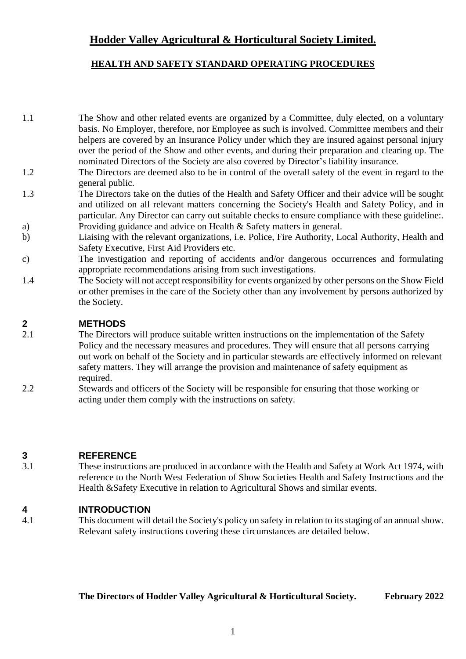# **Hodder Valley Agricultural & Horticultural Society Limited.**

## **HEALTH AND SAFETY STANDARD OPERATING PROCEDURES**

- 1.1 The Show and other related events are organized by a Committee, duly elected, on a voluntary basis. No Employer, therefore, nor Employee as such is involved. Committee members and their helpers are covered by an Insurance Policy under which they are insured against personal injury over the period of the Show and other events, and during their preparation and clearing up. The nominated Directors of the Society are also covered by Director's liability insurance.
- 1.2 The Directors are deemed also to be in control of the overall safety of the event in regard to the general public.
- 1.3 The Directors take on the duties of the Health and Safety Officer and their advice will be sought and utilized on all relevant matters concerning the Society's Health and Safety Policy, and in particular. Any Director can carry out suitable checks to ensure compliance with these guideline:. a) Providing guidance and advice on Health & Safety matters in general.
- b) Liaising with the relevant organizations, i.e. Police, Fire Authority, Local Authority, Health and Safety Executive, First Aid Providers etc.
- c) The investigation and reporting of accidents and/or dangerous occurrences and formulating appropriate recommendations arising from such investigations.
- 1.4 The Society will not accept responsibility for events organized by other persons on the Show Field or other premises in the care of the Society other than any involvement by persons authorized by the Society.

## **2 METHODS**

- 2.1 The Directors will produce suitable written instructions on the implementation of the Safety Policy and the necessary measures and procedures. They will ensure that all persons carrying out work on behalf of the Society and in particular stewards are effectively informed on relevant safety matters. They will arrange the provision and maintenance of safety equipment as required.
- 2.2 Stewards and officers of the Society will be responsible for ensuring that those working or acting under them comply with the instructions on safety.

### **3 REFERENCE**

3.1 These instructions are produced in accordance with the Health and Safety at Work Act 1974, with reference to the North West Federation of Show Societies Health and Safety Instructions and the Health &Safety Executive in relation to Agricultural Shows and similar events.

### **4 INTRODUCTION**

4.1 This document will detail the Society's policy on safety in relation to its staging of an annual show. Relevant safety instructions covering these circumstances are detailed below.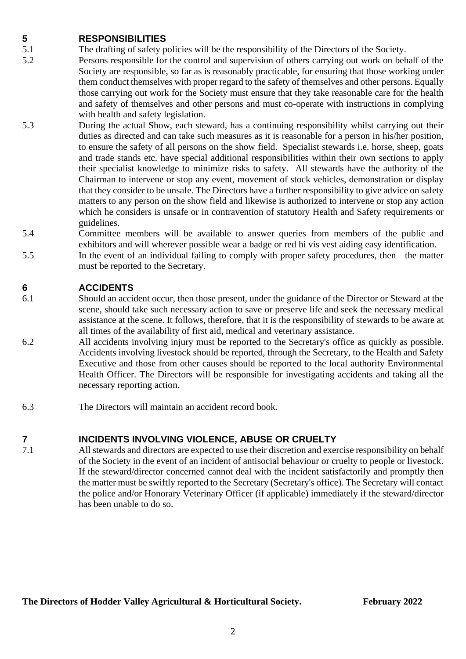## **5 RESPONSIBILITIES**

- 5.1 The drafting of safety policies will be the responsibility of the Directors of the Society.
- 5.2 Persons responsible for the control and supervision of others carrying out work on behalf of the Society are responsible, so far as is reasonably practicable, for ensuring that those working under them conduct themselves with proper regard to the safety of themselves and other persons. Equally those carrying out work for the Society must ensure that they take reasonable care for the health and safety of themselves and other persons and must co-operate with instructions in complying with health and safety legislation.
- 5.3 During the actual Show, each steward, has a continuing responsibility whilst carrying out their duties as directed and can take such measures as it is reasonable for a person in his/her position, to ensure the safety of all persons on the show field. Specialist stewards i.e. horse, sheep, goats and trade stands etc. have special additional responsibilities within their own sections to apply their specialist knowledge to minimize risks to safety. All stewards have the authority of the Chairman to intervene or stop any event, movement of stock vehicles, demonstration or display that they consider to be unsafe. The Directors have a further responsibility to give advice on safety matters to any person on the show field and likewise is authorized to intervene or stop any action which he considers is unsafe or in contravention of statutory Health and Safety requirements or guidelines.
- 5.4 Committee members will be available to answer queries from members of the public and exhibitors and will wherever possible wear a badge or red hi vis vest aiding easy identification.
- 5.5 In the event of an individual failing to comply with proper safety procedures, then the matter must be reported to the Secretary.

## **6 ACCIDENTS**

- 6.1 Should an accident occur, then those present, under the guidance of the Director or Steward at the scene, should take such necessary action to save or preserve life and seek the necessary medical assistance at the scene. It follows, therefore, that it is the responsibility of stewards to be aware at all times of the availability of first aid, medical and veterinary assistance.
- 6.2 All accidents involving injury must be reported to the Secretary's office as quickly as possible. Accidents involving livestock should be reported, through the Secretary, to the Health and Safety Executive and those from other causes should be reported to the local authority Environmental Health Officer. The Directors will be responsible for investigating accidents and taking all the necessary reporting action.
- 6.3 The Directors will maintain an accident record book.

## **7 INCIDENTS INVOLVING VIOLENCE, ABUSE OR CRUELTY**

7.1 All stewards and directors are expected to use their discretion and exercise responsibility on behalf of the Society in the event of an incident of antisocial behaviour or cruelty to people or livestock. If the steward/director concerned cannot deal with the incident satisfactorily and promptly then the matter must be swiftly reported to the Secretary (Secretary's office). The Secretary will contact the police and/or Honorary Veterinary Officer (if applicable) immediately if the steward/director has been unable to do so.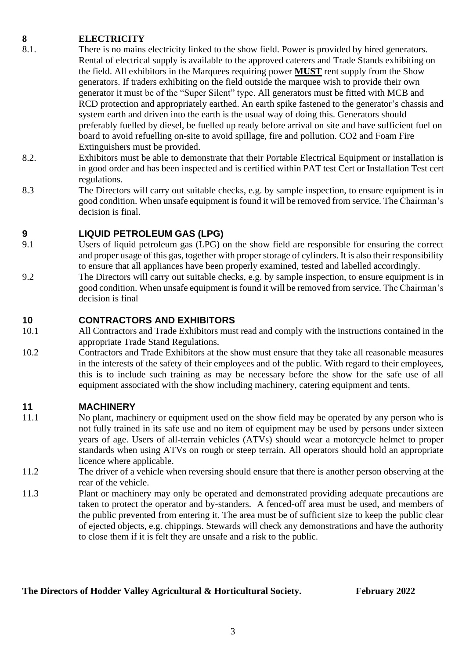## **8 ELECTRICITY**

- 8.1. There is no mains electricity linked to the show field. Power is provided by hired generators. Rental of electrical supply is available to the approved caterers and Trade Stands exhibiting on the field. All exhibitors in the Marquees requiring power **MUST** rent supply from the Show generators. If traders exhibiting on the field outside the marquee wish to provide their own generator it must be of the "Super Silent" type. All generators must be fitted with MCB and RCD protection and appropriately earthed. An earth spike fastened to the generator's chassis and system earth and driven into the earth is the usual way of doing this. Generators should preferably fuelled by diesel, be fuelled up ready before arrival on site and have sufficient fuel on board to avoid refuelling on-site to avoid spillage, fire and pollution. CO2 and Foam Fire Extinguishers must be provided.
- 8.2. Exhibitors must be able to demonstrate that their Portable Electrical Equipment or installation is in good order and has been inspected and is certified within PAT test Cert or Installation Test cert regulations.
- 8.3 The Directors will carry out suitable checks, e.g. by sample inspection, to ensure equipment is in good condition. When unsafe equipment is found it will be removed from service. The Chairman's decision is final.

## **9 LIQUID PETROLEUM GAS (LPG)**

- 9.1 Users of liquid petroleum gas (LPG) on the show field are responsible for ensuring the correct and proper usage of this gas, together with proper storage of cylinders. It is also their responsibility to ensure that all appliances have been properly examined, tested and labelled accordingly.
- 9.2 The Directors will carry out suitable checks, e.g. by sample inspection, to ensure equipment is in good condition. When unsafe equipment is found it will be removed from service. The Chairman's decision is final

## **10 CONTRACTORS AND EXHIBITORS**

- 10.1 All Contractors and Trade Exhibitors must read and comply with the instructions contained in the appropriate Trade Stand Regulations.
- 10.2 Contractors and Trade Exhibitors at the show must ensure that they take all reasonable measures in the interests of the safety of their employees and of the public. With regard to their employees, this is to include such training as may be necessary before the show for the safe use of all equipment associated with the show including machinery, catering equipment and tents.

### **11 MACHINERY**

- 11.1 No plant, machinery or equipment used on the show field may be operated by any person who is not fully trained in its safe use and no item of equipment may be used by persons under sixteen years of age. Users of all-terrain vehicles (ATVs) should wear a motorcycle helmet to proper standards when using ATVs on rough or steep terrain. All operators should hold an appropriate licence where applicable.
- 11.2 The driver of a vehicle when reversing should ensure that there is another person observing at the rear of the vehicle.
- 11.3 Plant or machinery may only be operated and demonstrated providing adequate precautions are taken to protect the operator and by-standers. A fenced-off area must be used, and members of the public prevented from entering it. The area must be of sufficient size to keep the public clear of ejected objects, e.g. chippings. Stewards will check any demonstrations and have the authority to close them if it is felt they are unsafe and a risk to the public.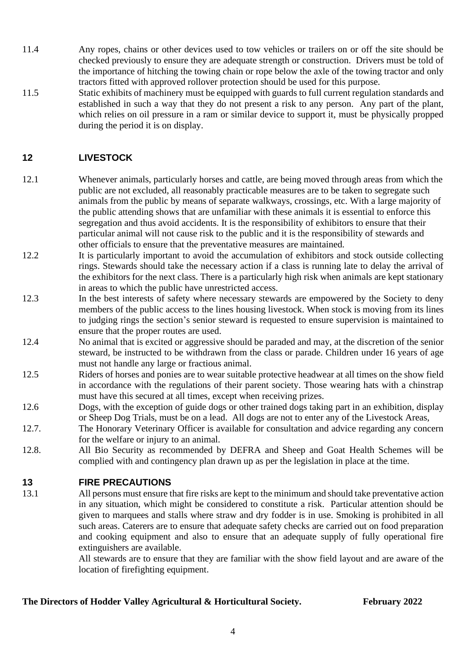- 11.4 Any ropes, chains or other devices used to tow vehicles or trailers on or off the site should be checked previously to ensure they are adequate strength or construction. Drivers must be told of the importance of hitching the towing chain or rope below the axle of the towing tractor and only tractors fitted with approved rollover protection should be used for this purpose.
- 11.5 Static exhibits of machinery must be equipped with guards to full current regulation standards and established in such a way that they do not present a risk to any person. Any part of the plant, which relies on oil pressure in a ram or similar device to support it, must be physically propped during the period it is on display.

## **12 LIVESTOCK**

- 12.1 Whenever animals, particularly horses and cattle, are being moved through areas from which the public are not excluded, all reasonably practicable measures are to be taken to segregate such animals from the public by means of separate walkways, crossings, etc. With a large majority of the public attending shows that are unfamiliar with these animals it is essential to enforce this segregation and thus avoid accidents. It is the responsibility of exhibitors to ensure that their particular animal will not cause risk to the public and it is the responsibility of stewards and other officials to ensure that the preventative measures are maintained.
- 12.2 It is particularly important to avoid the accumulation of exhibitors and stock outside collecting rings. Stewards should take the necessary action if a class is running late to delay the arrival of the exhibitors for the next class. There is a particularly high risk when animals are kept stationary in areas to which the public have unrestricted access.
- 12.3 In the best interests of safety where necessary stewards are empowered by the Society to deny members of the public access to the lines housing livestock. When stock is moving from its lines to judging rings the section's senior steward is requested to ensure supervision is maintained to ensure that the proper routes are used.
- 12.4 No animal that is excited or aggressive should be paraded and may, at the discretion of the senior steward, be instructed to be withdrawn from the class or parade. Children under 16 years of age must not handle any large or fractious animal.
- 12.5 Riders of horses and ponies are to wear suitable protective headwear at all times on the show field in accordance with the regulations of their parent society. Those wearing hats with a chinstrap must have this secured at all times, except when receiving prizes.
- 12.6 Dogs, with the exception of guide dogs or other trained dogs taking part in an exhibition, display or Sheep Dog Trials, must be on a lead. All dogs are not to enter any of the Livestock Areas,
- 12.7. The Honorary Veterinary Officer is available for consultation and advice regarding any concern for the welfare or injury to an animal.
- 12.8. All Bio Security as recommended by DEFRA and Sheep and Goat Health Schemes will be complied with and contingency plan drawn up as per the legislation in place at the time.

## **13 FIRE PRECAUTIONS**

13.1 All persons must ensure that fire risks are kept to the minimum and should take preventative action in any situation, which might be considered to constitute a risk. Particular attention should be given to marquees and stalls where straw and dry fodder is in use. Smoking is prohibited in all such areas. Caterers are to ensure that adequate safety checks are carried out on food preparation and cooking equipment and also to ensure that an adequate supply of fully operational fire extinguishers are available.

All stewards are to ensure that they are familiar with the show field layout and are aware of the location of firefighting equipment.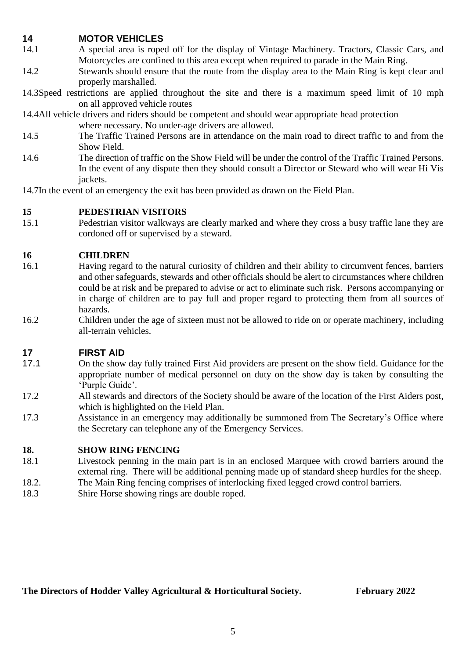## **14 MOTOR VEHICLES**

- 14.1 A special area is roped off for the display of Vintage Machinery. Tractors, Classic Cars, and Motorcycles are confined to this area except when required to parade in the Main Ring.
- 14.2 Stewards should ensure that the route from the display area to the Main Ring is kept clear and properly marshalled.
- 14.3Speed restrictions are applied throughout the site and there is a maximum speed limit of 10 mph on all approved vehicle routes

14.4All vehicle drivers and riders should be competent and should wear appropriate head protection

where necessary. No under-age drivers are allowed.

- 14.5 The Traffic Trained Persons are in attendance on the main road to direct traffic to and from the Show Field.
- 14.6 The direction of traffic on the Show Field will be under the control of the Traffic Trained Persons. In the event of any dispute then they should consult a Director or Steward who will wear Hi Vis jackets.
- 14.7In the event of an emergency the exit has been provided as drawn on the Field Plan.

## **15 PEDESTRIAN VISITORS**

15.1 Pedestrian visitor walkways are clearly marked and where they cross a busy traffic lane they are cordoned off or supervised by a steward.

## **16 CHILDREN**

- 16.1 Having regard to the natural curiosity of children and their ability to circumvent fences, barriers and other safeguards, stewards and other officials should be alert to circumstances where children could be at risk and be prepared to advise or act to eliminate such risk. Persons accompanying or in charge of children are to pay full and proper regard to protecting them from all sources of hazards.
- 16.2 Children under the age of sixteen must not be allowed to ride on or operate machinery, including all-terrain vehicles.

## **17 FIRST AID**

- 17.1 On the show day fully trained First Aid providers are present on the show field. Guidance for the appropriate number of medical personnel on duty on the show day is taken by consulting the 'Purple Guide'.
- 17.2 All stewards and directors of the Society should be aware of the location of the First Aiders post, which is highlighted on the Field Plan.
- 17.3 Assistance in an emergency may additionally be summoned from The Secretary's Office where the Secretary can telephone any of the Emergency Services.

### **18. SHOW RING FENCING**

- 18.1 Livestock penning in the main part is in an enclosed Marquee with crowd barriers around the external ring. There will be additional penning made up of standard sheep hurdles for the sheep.
- 18.2. The Main Ring fencing comprises of interlocking fixed legged crowd control barriers.
- 18.3 Shire Horse showing rings are double roped.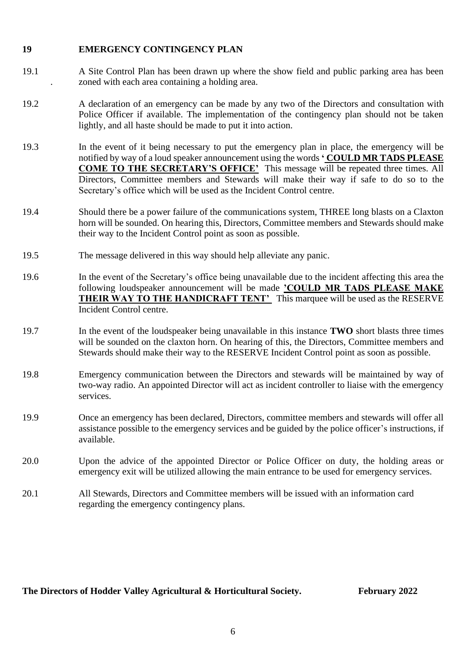### **19 EMERGENCY CONTINGENCY PLAN**

- 19.1 A Site Control Plan has been drawn up where the show field and public parking area has been . zoned with each area containing a holding area.
- 19.2 A declaration of an emergency can be made by any two of the Directors and consultation with Police Officer if available. The implementation of the contingency plan should not be taken lightly, and all haste should be made to put it into action.
- 19.3 In the event of it being necessary to put the emergency plan in place, the emergency will be notified by way of a loud speaker announcement using the words **' COULD MR TADS PLEASE COME TO THE SECRETARY'S OFFICE'** This message will be repeated three times. All Directors, Committee members and Stewards will make their way if safe to do so to the Secretary's office which will be used as the Incident Control centre.
- 19.4 Should there be a power failure of the communications system, THREE long blasts on a Claxton horn will be sounded. On hearing this, Directors, Committee members and Stewards should make their way to the Incident Control point as soon as possible.
- 19.5 The message delivered in this way should help alleviate any panic.
- 19.6 In the event of the Secretary's office being unavailable due to the incident affecting this area the following loudspeaker announcement will be made **'COULD MR TADS PLEASE MAKE THEIR WAY TO THE HANDICRAFT TENT'** This marquee will be used as the RESERVE Incident Control centre.
- 19.7 In the event of the loudspeaker being unavailable in this instance **TWO** short blasts three times will be sounded on the claxton horn. On hearing of this, the Directors, Committee members and Stewards should make their way to the RESERVE Incident Control point as soon as possible.
- 19.8 Emergency communication between the Directors and stewards will be maintained by way of two-way radio. An appointed Director will act as incident controller to liaise with the emergency services.
- 19.9 Once an emergency has been declared, Directors, committee members and stewards will offer all assistance possible to the emergency services and be guided by the police officer's instructions, if available.
- 20.0 Upon the advice of the appointed Director or Police Officer on duty, the holding areas or emergency exit will be utilized allowing the main entrance to be used for emergency services.
- 20.1 All Stewards, Directors and Committee members will be issued with an information card regarding the emergency contingency plans.